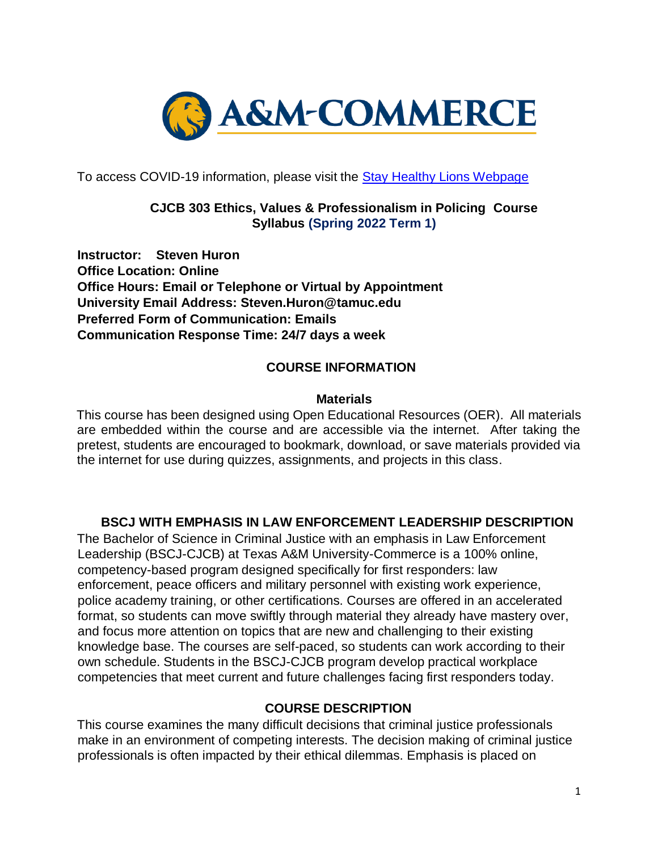

To access COVID-19 information, please visit the **Stay Healthy Lions Webpage** 

## **CJCB 303 Ethics, Values & Professionalism in Policing Course Syllabus (Spring 2022 Term 1)**

**Instructor: Steven Huron Office Location: Online Office Hours: Email or Telephone or Virtual by Appointment University Email Address: Steven.Huron@tamuc.edu Preferred Form of Communication: Emails Communication Response Time: 24/7 days a week** 

## **COURSE INFORMATION**

#### **Materials**

This course has been designed using Open Educational Resources (OER). All materials are embedded within the course and are accessible via the internet. After taking the pretest, students are encouraged to bookmark, download, or save materials provided via the internet for use during quizzes, assignments, and projects in this class.

### **BSCJ WITH EMPHASIS IN LAW ENFORCEMENT LEADERSHIP DESCRIPTION**

The Bachelor of Science in Criminal Justice with an emphasis in Law Enforcement Leadership (BSCJ-CJCB) at Texas A&M University-Commerce is a 100% online, competency-based program designed specifically for first responders: law enforcement, peace officers and military personnel with existing work experience, police academy training, or other certifications. Courses are offered in an accelerated format, so students can move swiftly through material they already have mastery over, and focus more attention on topics that are new and challenging to their existing knowledge base. The courses are self-paced, so students can work according to their own schedule. Students in the BSCJ-CJCB program develop practical workplace competencies that meet current and future challenges facing first responders today.

### **COURSE DESCRIPTION**

This course examines the many difficult decisions that criminal justice professionals make in an environment of competing interests. The decision making of criminal justice professionals is often impacted by their ethical dilemmas. Emphasis is placed on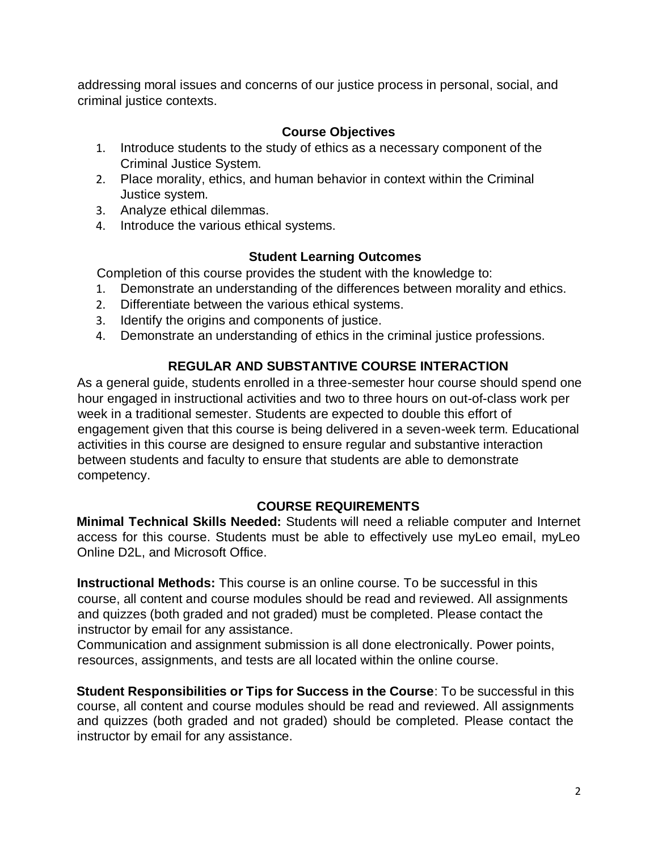addressing moral issues and concerns of our justice process in personal, social, and criminal justice contexts.

## **Course Objectives**

- 1. Introduce students to the study of ethics as a necessary component of the Criminal Justice System.
- 2. Place morality, ethics, and human behavior in context within the Criminal Justice system.
- 3. Analyze ethical dilemmas.
- 4. Introduce the various ethical systems.

## **Student Learning Outcomes**

Completion of this course provides the student with the knowledge to:

- 1. Demonstrate an understanding of the differences between morality and ethics.
- 2. Differentiate between the various ethical systems.
- 3. Identify the origins and components of justice.
- 4. Demonstrate an understanding of ethics in the criminal justice professions.

# **REGULAR AND SUBSTANTIVE COURSE INTERACTION**

As a general guide, students enrolled in a three-semester hour course should spend one hour engaged in instructional activities and two to three hours on out-of-class work per week in a traditional semester. Students are expected to double this effort of engagement given that this course is being delivered in a seven-week term. Educational activities in this course are designed to ensure regular and substantive interaction between students and faculty to ensure that students are able to demonstrate competency.

### **COURSE REQUIREMENTS**

**Minimal Technical Skills Needed:** Students will need a reliable computer and Internet access for this course. Students must be able to effectively use myLeo email, myLeo Online D2L, and Microsoft Office.

**Instructional Methods:** This course is an online course. To be successful in this course, all content and course modules should be read and reviewed. All assignments and quizzes (both graded and not graded) must be completed. Please contact the instructor by email for any assistance.

Communication and assignment submission is all done electronically. Power points, resources, assignments, and tests are all located within the online course.

**Student Responsibilities or Tips for Success in the Course**: To be successful in this course, all content and course modules should be read and reviewed. All assignments and quizzes (both graded and not graded) should be completed. Please contact the instructor by email for any assistance.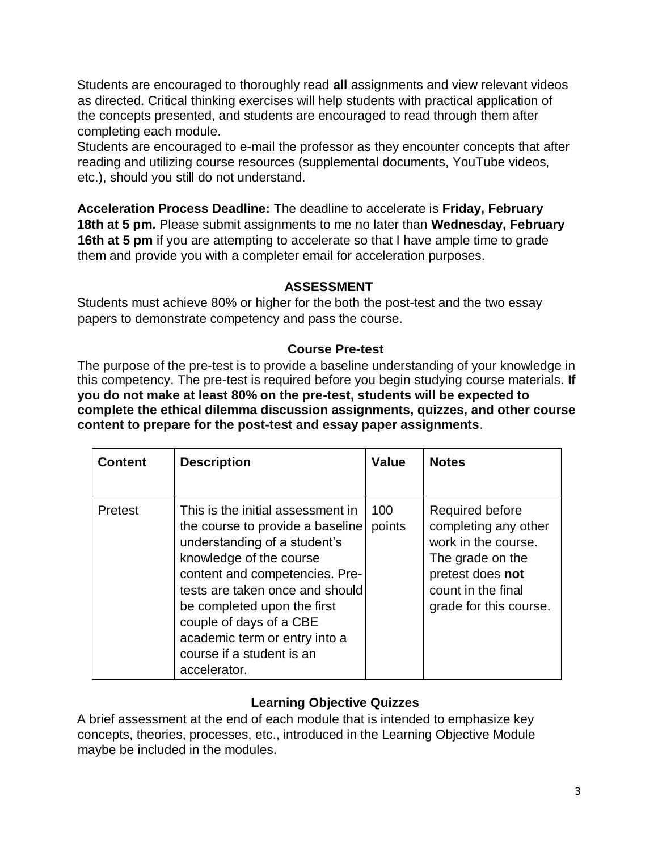Students are encouraged to thoroughly read **all** assignments and view relevant videos as directed. Critical thinking exercises will help students with practical application of the concepts presented, and students are encouraged to read through them after completing each module.

Students are encouraged to e-mail the professor as they encounter concepts that after reading and utilizing course resources (supplemental documents, YouTube videos, etc.), should you still do not understand.

**Acceleration Process Deadline:** The deadline to accelerate is **Friday, February 18th at 5 pm.** Please submit assignments to me no later than **Wednesday, February 16th at 5 pm** if you are attempting to accelerate so that I have ample time to grade them and provide you with a completer email for acceleration purposes.

### **ASSESSMENT**

Students must achieve 80% or higher for the both the post-test and the two essay papers to demonstrate competency and pass the course.

## **Course Pre-test**

The purpose of the pre-test is to provide a baseline understanding of your knowledge in this competency. The pre-test is required before you begin studying course materials. **If you do not make at least 80% on the pre-test, students will be expected to complete the ethical dilemma discussion assignments, quizzes, and other course content to prepare for the post-test and essay paper assignments**.

| <b>Content</b> | <b>Description</b>                                                                                                                                                                                                                                                                                                                            | Value         | <b>Notes</b>                                                                                                                                           |
|----------------|-----------------------------------------------------------------------------------------------------------------------------------------------------------------------------------------------------------------------------------------------------------------------------------------------------------------------------------------------|---------------|--------------------------------------------------------------------------------------------------------------------------------------------------------|
| Pretest        | This is the initial assessment in<br>the course to provide a baseline<br>understanding of a student's<br>knowledge of the course<br>content and competencies. Pre-<br>tests are taken once and should<br>be completed upon the first<br>couple of days of a CBE<br>academic term or entry into a<br>course if a student is an<br>accelerator. | 100<br>points | Required before<br>completing any other<br>work in the course.<br>The grade on the<br>pretest does not<br>count in the final<br>grade for this course. |

# **Learning Objective Quizzes**

A brief assessment at the end of each module that is intended to emphasize key concepts, theories, processes, etc., introduced in the Learning Objective Module maybe be included in the modules.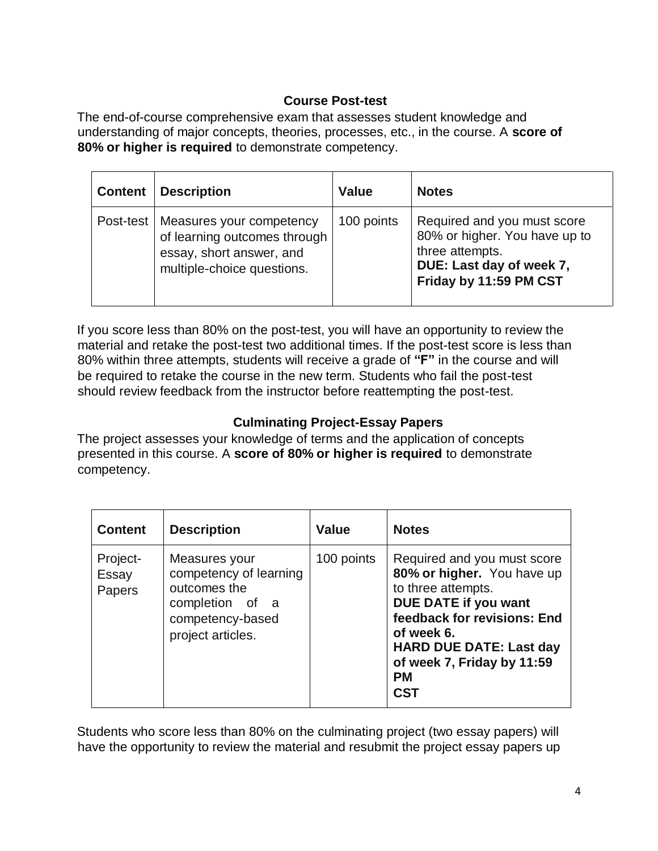# **Course Post-test**

The end-of-course comprehensive exam that assesses student knowledge and understanding of major concepts, theories, processes, etc., in the course. A **score of 80% or higher is required** to demonstrate competency.

| <b>Content</b> | <b>Description</b>                                                                                                 | <b>Value</b> | <b>Notes</b>                                                                                                                          |
|----------------|--------------------------------------------------------------------------------------------------------------------|--------------|---------------------------------------------------------------------------------------------------------------------------------------|
| Post-test      | Measures your competency<br>of learning outcomes through<br>essay, short answer, and<br>multiple-choice questions. | 100 points   | Required and you must score<br>80% or higher. You have up to<br>three attempts.<br>DUE: Last day of week 7,<br>Friday by 11:59 PM CST |

If you score less than 80% on the post-test, you will have an opportunity to review the material and retake the post-test two additional times. If the post-test score is less than 80% within three attempts, students will receive a grade of **"F"** in the course and will be required to retake the course in the new term. Students who fail the post-test should review feedback from the instructor before reattempting the post-test.

## **Culminating Project-Essay Papers**

The project assesses your knowledge of terms and the application of concepts presented in this course. A **score of 80% or higher is required** to demonstrate competency.

| <b>Content</b>              | <b>Description</b>                                                                                                  | <b>Value</b> | <b>Notes</b>                                                                                                                                                                                                                                    |
|-----------------------------|---------------------------------------------------------------------------------------------------------------------|--------------|-------------------------------------------------------------------------------------------------------------------------------------------------------------------------------------------------------------------------------------------------|
| Project-<br>Essay<br>Papers | Measures your<br>competency of learning<br>outcomes the<br>completion of a<br>competency-based<br>project articles. | 100 points   | Required and you must score<br>80% or higher. You have up<br>to three attempts.<br>DUE DATE if you want<br>feedback for revisions: End<br>of week 6.<br><b>HARD DUE DATE: Last day</b><br>of week 7, Friday by 11:59<br><b>PM</b><br><b>CST</b> |

Students who score less than 80% on the culminating project (two essay papers) will have the opportunity to review the material and resubmit the project essay papers up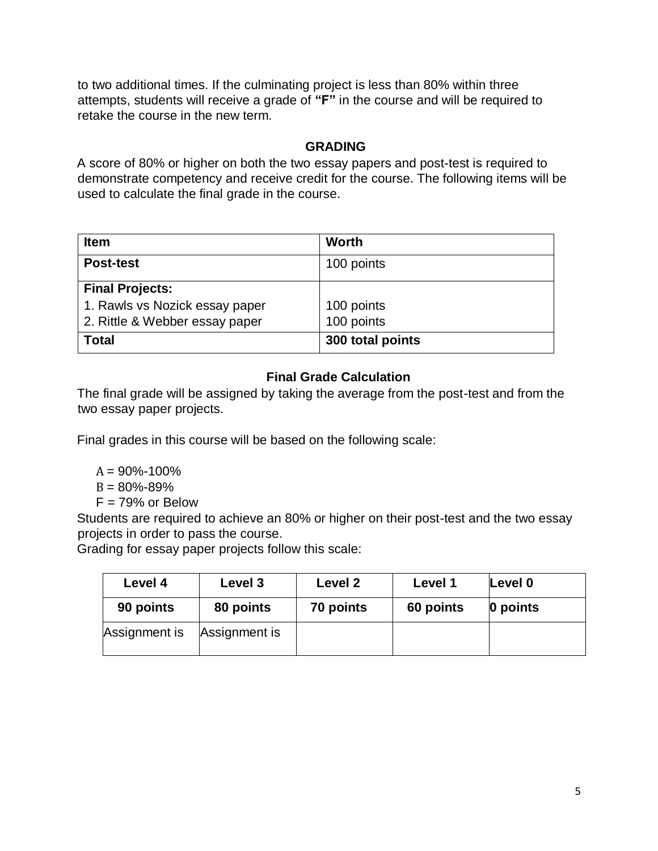to two additional times. If the culminating project is less than 80% within three attempts, students will receive a grade of **"F"** in the course and will be required to retake the course in the new term.

## **GRADING**

A score of 80% or higher on both the two essay papers and post-test is required to demonstrate competency and receive credit for the course. The following items will be used to calculate the final grade in the course.

| <b>Item</b>                    | Worth            |
|--------------------------------|------------------|
| <b>Post-test</b>               | 100 points       |
| <b>Final Projects:</b>         |                  |
| 1. Rawls vs Nozick essay paper | 100 points       |
| 2. Rittle & Webber essay paper | 100 points       |
| <b>Total</b>                   | 300 total points |

# **Final Grade Calculation**

The final grade will be assigned by taking the average from the post-test and from the two essay paper projects.

Final grades in this course will be based on the following scale:

 $A = 90\% - 100\%$ 

 $B = 80\% - 89\%$ 

 $F = 79%$  or Below

Students are required to achieve an 80% or higher on their post-test and the two essay projects in order to pass the course.

Grading for essay paper projects follow this scale:

| Level 4       | Level 3       | Level 2   | Level 1   | Level 0  |
|---------------|---------------|-----------|-----------|----------|
| 90 points     | 80 points     | 70 points | 60 points | 0 points |
| Assignment is | Assignment is |           |           |          |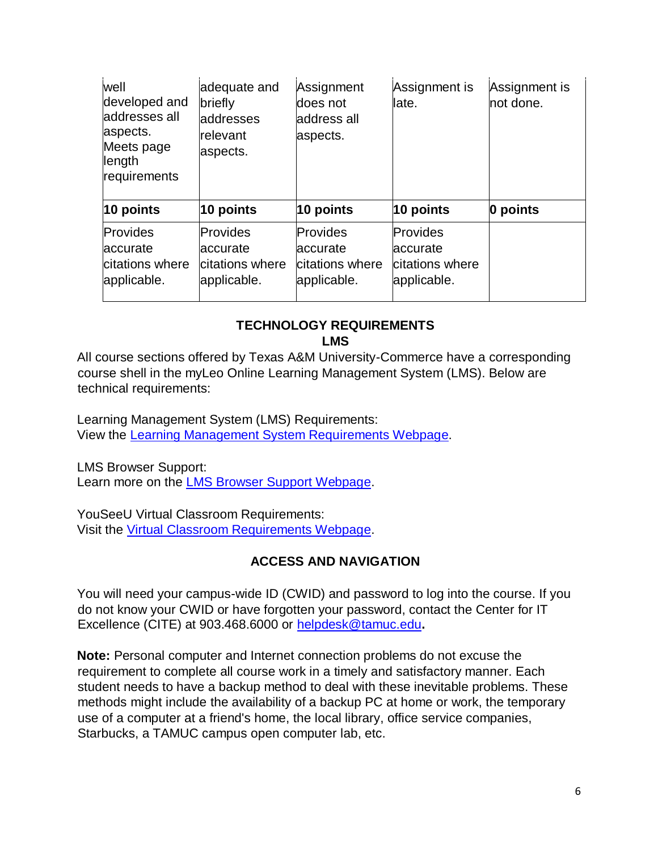| well<br>developed and<br>addresses all<br>aspects.<br>Meets page<br>length<br>requirements | adequate and<br>briefly<br>laddresses<br>lrelevant<br>aspects. | Assignment<br>does not<br>address all<br>aspects.      | Assignment is<br>llate.                                        | Assignment is<br>not done. |
|--------------------------------------------------------------------------------------------|----------------------------------------------------------------|--------------------------------------------------------|----------------------------------------------------------------|----------------------------|
| 10 points                                                                                  | 10 points                                                      | $10$ points                                            | $10$ points                                                    | 0 points                   |
| <b>Provides</b><br>accurate<br>citations where<br>applicable.                              | Provides<br>accurate<br>citations where<br>applicable.         | Provides<br>accurate<br>citations where<br>applicable. | <b>Provides</b><br>laccurate<br>citations where<br>applicable. |                            |

#### **TECHNOLOGY REQUIREMENTS LMS**

All course sections offered by Texas A&M University-Commerce have a corresponding course shell in the myLeo Online Learning Management System (LMS). Below are technical requirements:

Learning Management System (LMS) Requirements: View the [Learning Management System Requirements Webpage.](https://community.brightspace.com/s/article/Brightspace-Platform-Requirements) 

LMS Browser Support: Learn more on the [LMS Browser Support Webpage.](https://documentation.brightspace.com/EN/brightspace/requirements/all/browser_support.htm) 

YouSeeU Virtual Classroom Requirements: Visit the [Virtual Classroom Requirements Webpage.](https://support.youseeu.com/hc/en-us/articles/115007031107-Basic-System-Requirements) 

## **ACCESS AND NAVIGATION**

You will need your campus-wide ID (CWID) and password to log into the course. If you do not know your CWID or have forgotten your password, contact the Center for IT Excellence (CITE) at 903.468.6000 or helpdesk@tamuc.edu**.** 

**Note:** Personal computer and Internet connection problems do not excuse the requirement to complete all course work in a timely and satisfactory manner. Each student needs to have a backup method to deal with these inevitable problems. These methods might include the availability of a backup PC at home or work, the temporary use of a computer at a friend's home, the local library, office service companies, Starbucks, a TAMUC campus open computer lab, etc.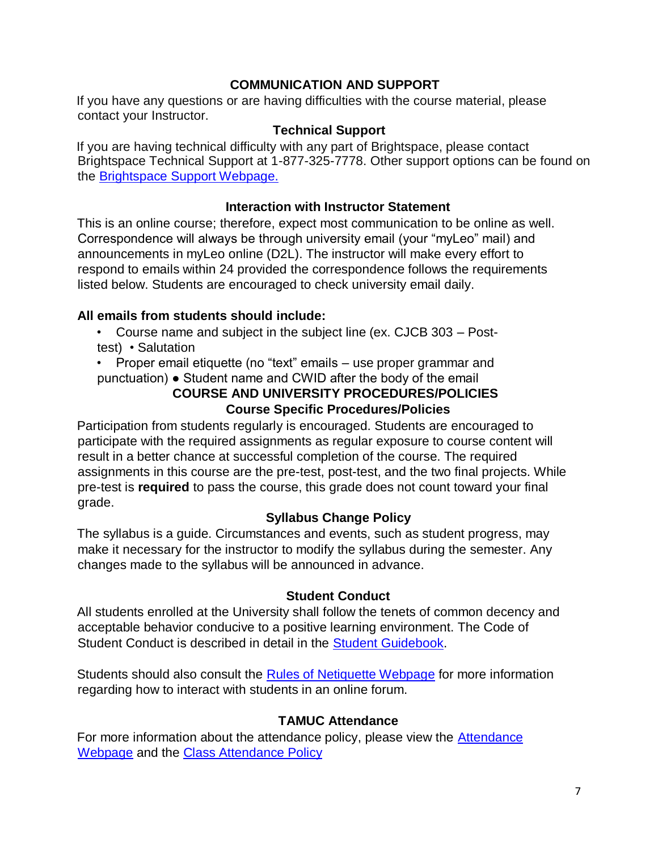### **COMMUNICATION AND SUPPORT**

If you have any questions or are having difficulties with the course material, please contact your Instructor.

#### **Technical Support**

If you are having technical difficulty with any part of Brightspace, please contact Brightspace Technical Support at 1-877-325-7778. Other support options can be found on the [Brightspace](https://community.brightspace.com/support/s/contactsupport) [Support Webpage.](https://community.brightspace.com/support/s/contactsupport)

#### **Interaction with Instructor Statement**

This is an online course; therefore, expect most communication to be online as well. Correspondence will always be through university email (your "myLeo" mail) and announcements in myLeo online (D2L). The instructor will make every effort to respond to emails within 24 provided the correspondence follows the requirements listed below. Students are encouraged to check university email daily.

### **All emails from students should include:**

• Course name and subject in the subject line (ex. CJCB 303 – Posttest) • Salutation

• Proper email etiquette (no "text" emails – use proper grammar and punctuation) ● Student name and CWID after the body of the email

### **COURSE AND UNIVERSITY PROCEDURES/POLICIES Course Specific Procedures/Policies**

Participation from students regularly is encouraged. Students are encouraged to participate with the required assignments as regular exposure to course content will result in a better chance at successful completion of the course. The required assignments in this course are the pre-test, post-test, and the two final projects. While pre-test is **required** to pass the course, this grade does not count toward your final grade.

### **Syllabus Change Policy**

The syllabus is a guide. Circumstances and events, such as student progress, may make it necessary for the instructor to modify the syllabus during the semester. Any changes made to the syllabus will be announced in advance.

#### **Student Conduct**

All students enrolled at the University shall follow the tenets of common decency and acceptable behavior conducive to a positive learning environment. The Code of Student Conduct is described in detail in the [Student Guidebook.](http://www.tamuc.edu/Admissions/oneStopShop/undergraduateAdmissions/studentGuidebook.aspx) 

Students should also consult the [Rules of Netiquette Webpage](https://www.britannica.com/topic/netiquette) [fo](https://www.britannica.com/topic/netiquette)r more information regarding how to interact with students in an online forum.

### **TAMUC Attendance**

For more information about the attendance policy, please view the **Attendance** [Webpage](http://www.tamuc.edu/admissions/registrar/generalInformation/attendance.aspx) [an](http://www.tamuc.edu/admissions/registrar/generalInformation/attendance.aspx)d the [Class Attendance Policy](http://www.tamuc.edu/aboutUs/policiesProceduresStandardsStatements/rulesProcedures/13students/academic/13.99.99.R0.01.pdf)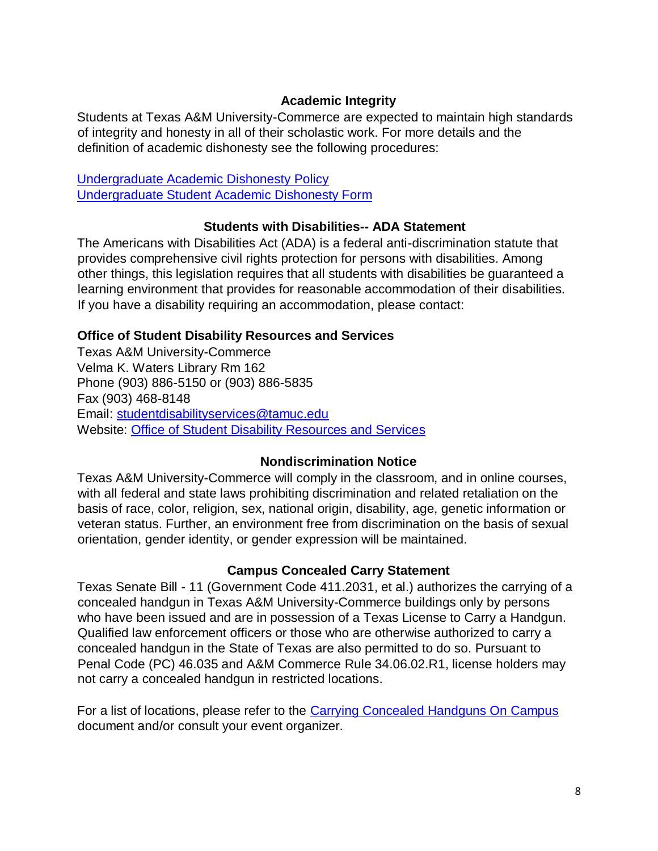#### **Academic Integrity**

Students at Texas A&M University-Commerce are expected to maintain high standards of integrity and honesty in all of their scholastic work. For more details and the definition of academic dishonesty see the following procedures:

[Undergraduate Academic Dishonesty Pol](http://www.tamuc.edu/aboutUs/policiesProceduresStandardsStatements/rulesProcedures/13students/undergraduates/13.99.99.R0.03UndergraduateAcademicDishonesty.pdf)icy [Undergraduate Student Academic Dishonesty Form](http://www.tamuc.edu/aboutUs/policiesProceduresStandardsStatements/rulesProcedures/documents/13.99.99.R0.03UndergraduateStudentAcademicDishonestyForm.pdf)

#### **Students with Disabilities-- ADA Statement**

The Americans with Disabilities Act (ADA) is a federal anti-discrimination statute that provides comprehensive civil rights protection for persons with disabilities. Among other things, this legislation requires that all students with disabilities be guaranteed a learning environment that provides for reasonable accommodation of their disabilities. If you have a disability requiring an accommodation, please contact:

### **Office of Student Disability Resources and Services**

Texas A&M University-Commerce Velma K. Waters Library Rm 162 Phone (903) 886-5150 or (903) 886-5835 Fax (903) 468-8148 Email: studentdisabilityservices@tamuc.edu Website: [Office](http://www.tamuc.edu/campusLife/campusServices/studentDisabilityResourcesAndServices/) [of Student Disability Resources and Services](http://www.tamuc.edu/campusLife/campusServices/studentDisabilityResourcesAndServices/) 

### **Nondiscrimination Notice**

Texas A&M University-Commerce will comply in the classroom, and in online courses, with all federal and state laws prohibiting discrimination and related retaliation on the basis of race, color, religion, sex, national origin, disability, age, genetic information or veteran status. Further, an environment free from discrimination on the basis of sexual orientation, gender identity, or gender expression will be maintained.

#### **Campus Concealed Carry Statement**

Texas Senate Bill - 11 (Government Code 411.2031, et al.) authorizes the carrying of a concealed handgun in Texas A&M University-Commerce buildings only by persons who have been issued and are in possession of a Texas License to Carry a Handgun. Qualified law enforcement officers or those who are otherwise authorized to carry a concealed handgun in the State of Texas are also permitted to do so. Pursuant to Penal Code (PC) 46.035 and A&M Commerce Rule 34.06.02.R1, license holders may not carry a concealed handgun in restricted locations.

For a list of locations, please refer to the [Carrying Concealed Handguns On Campus](http://www.tamuc.edu/aboutUs/policiesProceduresStandardsStatements/rulesProcedures/34SafetyOfEmployeesAndStudents/34.06.02.R1.pdf) document and/or consult your event organizer.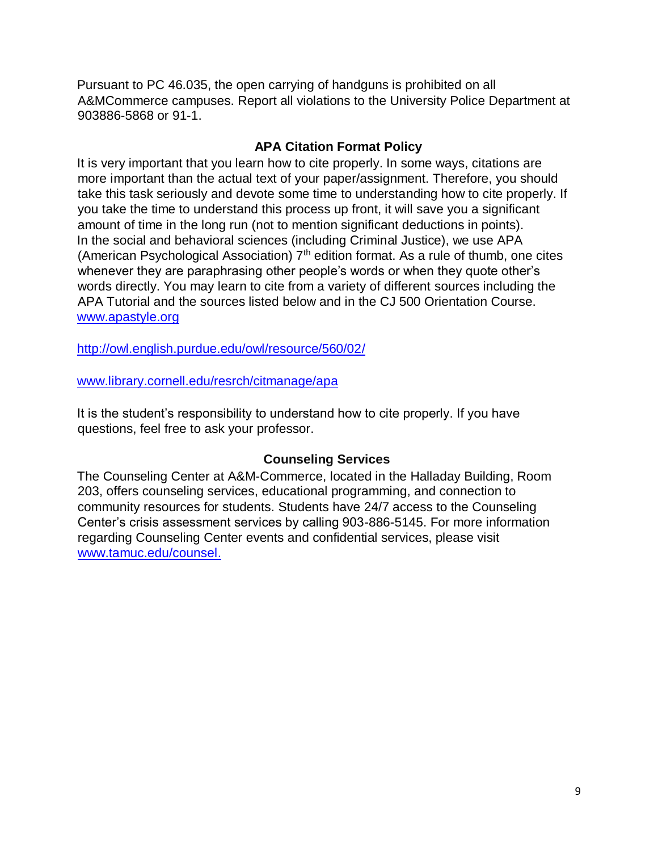Pursuant to PC 46.035, the open carrying of handguns is prohibited on all A&MCommerce campuses. Report all violations to the University Police Department at 903886-5868 or 91-1.

#### **APA Citation Format Policy**

It is very important that you learn how to cite properly. In some ways, citations are more important than the actual text of your paper/assignment. Therefore, you should take this task seriously and devote some time to understanding how to cite properly. If you take the time to understand this process up front, it will save you a significant amount of time in the long run (not to mention significant deductions in points). In the social and behavioral sciences (including Criminal Justice), we use APA (American Psychological Association)  $7<sup>th</sup>$  edition format. As a rule of thumb, one cites whenever they are paraphrasing other people's words or when they quote other's words directly. You may learn to cite from a variety of different sources including the APA Tutorial and the sources listed below and in the CJ 500 Orientation Course. [www.apastyle.org](http://www.apastyle.org/) 

<http://owl.english.purdue.edu/owl/resource/560/02/>

[www.library.cornell.edu/resrch/citmanage/apa](http://www.library.cornell.edu/resrch/citmanage/apa) 

It is the student's responsibility to understand how to cite properly. If you have questions, feel free to ask your professor.

#### **Counseling Services**

The Counseling Center at A&M-Commerce, located in the Halladay Building, Room 203, offers counseling services, educational programming, and connection to community resources for students. Students have 24/7 access to the Counseling Center's crisis assessment services by calling 903-886-5145. For more information regarding Counseling Center events and confidential services, please visit [www.tamuc.edu/counsel.](http://www.tamuc.edu/counsel)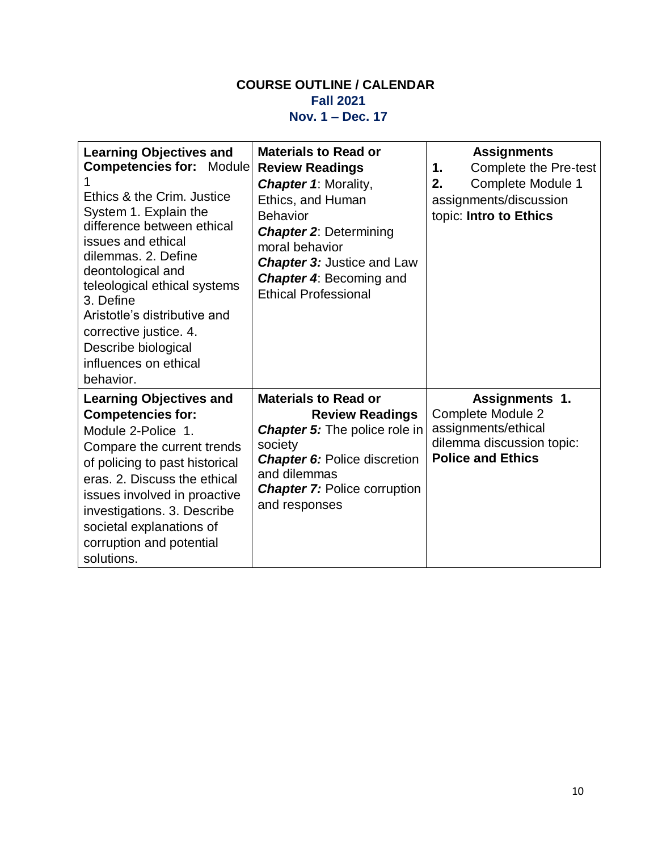### **COURSE OUTLINE / CALENDAR Fall 2021 Nov. 1 – Dec. 17**

| <b>Learning Objectives and</b><br><b>Competencies for: Module</b><br>Ethics & the Crim. Justice<br>System 1. Explain the<br>difference between ethical<br>issues and ethical<br>dilemmas. 2. Define<br>deontological and<br>teleological ethical systems<br>3. Define<br>Aristotle's distributive and<br>corrective justice. 4.<br>Describe biological<br>influences on ethical<br>behavior. | <b>Materials to Read or</b><br><b>Review Readings</b><br><b>Chapter 1: Morality,</b><br>Ethics, and Human<br><b>Behavior</b><br><b>Chapter 2: Determining</b><br>moral behavior<br><b>Chapter 3: Justice and Law</b><br><b>Chapter 4: Becoming and</b><br><b>Ethical Professional</b> | <b>Assignments</b><br><b>Complete the Pre-test</b><br>1.<br>Complete Module 1<br>2.<br>assignments/discussion<br>topic: Intro to Ethics |
|----------------------------------------------------------------------------------------------------------------------------------------------------------------------------------------------------------------------------------------------------------------------------------------------------------------------------------------------------------------------------------------------|---------------------------------------------------------------------------------------------------------------------------------------------------------------------------------------------------------------------------------------------------------------------------------------|-----------------------------------------------------------------------------------------------------------------------------------------|
| <b>Learning Objectives and</b><br><b>Competencies for:</b><br>Module 2-Police 1.<br>Compare the current trends<br>of policing to past historical<br>eras. 2. Discuss the ethical<br>issues involved in proactive<br>investigations. 3. Describe<br>societal explanations of<br>corruption and potential<br>solutions.                                                                        | <b>Materials to Read or</b><br><b>Review Readings</b><br><b>Chapter 5:</b> The police role in<br>society<br><b>Chapter 6: Police discretion</b><br>and dilemmas<br><b>Chapter 7: Police corruption</b><br>and responses                                                               | Assignments 1.<br>Complete Module 2<br>assignments/ethical<br>dilemma discussion topic:<br><b>Police and Ethics</b>                     |